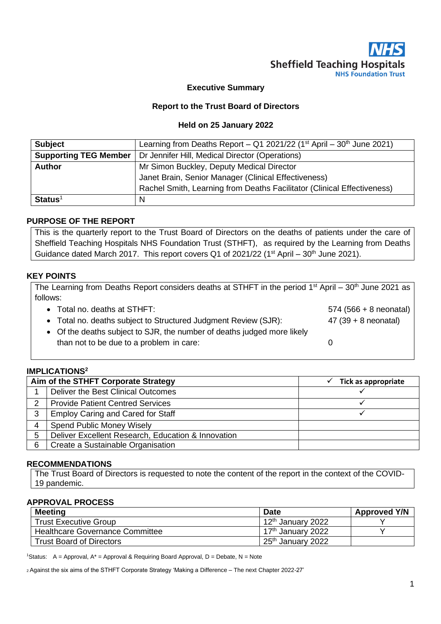

### **Executive Summary**

### **Report to the Trust Board of Directors**

#### **Held on 25 January 2022**

| <b>Subject</b>               | Learning from Deaths Report – Q1 2021/22 ( $1st$ April – 30 <sup>th</sup> June 2021) |  |
|------------------------------|--------------------------------------------------------------------------------------|--|
| <b>Supporting TEG Member</b> | Dr Jennifer Hill, Medical Director (Operations)                                      |  |
| <b>Author</b>                | Mr Simon Buckley, Deputy Medical Director                                            |  |
|                              | Janet Brain, Senior Manager (Clinical Effectiveness)                                 |  |
|                              | Rachel Smith, Learning from Deaths Facilitator (Clinical Effectiveness)              |  |
| $Status1$                    | N                                                                                    |  |

### **PURPOSE OF THE REPORT**

This is the quarterly report to the Trust Board of Directors on the deaths of patients under the care of Sheffield Teaching Hospitals NHS Foundation Trust (STHFT), as required by the Learning from Deaths Guidance dated March 2017. This report covers Q1 of 2021/22 (1<sup>st</sup> April – 30<sup>th</sup> June 2021).

#### **KEY POINTS**

| The Learning from Deaths Report considers deaths at STHFT in the period 1 <sup>st</sup> April – 30 <sup>th</sup> June 2021 as |                          |  |  |
|-------------------------------------------------------------------------------------------------------------------------------|--------------------------|--|--|
| follows:                                                                                                                      |                          |  |  |
| • Total no. deaths at STHFT:                                                                                                  | $574 (566 + 8$ neonatal) |  |  |
| • Total no. deaths subject to Structured Judgment Review (SJR):                                                               | $47 (39 + 8$ neonatal)   |  |  |
| • Of the deaths subject to SJR, the number of deaths judged more likely                                                       |                          |  |  |
| than not to be due to a problem in care:                                                                                      |                          |  |  |

### **IMPLICATIONS<sup>2</sup>**

| Aim of the STHFT Corporate Strategy |                                                    | Tick as appropriate |
|-------------------------------------|----------------------------------------------------|---------------------|
|                                     | Deliver the Best Clinical Outcomes                 |                     |
| 2                                   | <b>Provide Patient Centred Services</b>            |                     |
| 3                                   | <b>Employ Caring and Cared for Staff</b>           |                     |
| 4                                   | <b>Spend Public Money Wisely</b>                   |                     |
| 5                                   | Deliver Excellent Research, Education & Innovation |                     |
| 6                                   | Create a Sustainable Organisation                  |                     |

### **RECOMMENDATIONS**

The Trust Board of Directors is requested to note the content of the report in the context of the COVID-19 pandemic.

### **APPROVAL PROCESS**

| <b>Meeting</b>                  | <b>Date</b>                   | <b>Approved Y/N</b> |
|---------------------------------|-------------------------------|---------------------|
| <b>Trust Executive Group</b>    | 12 <sup>th</sup> January 2022 |                     |
| Healthcare Governance Committee | 17 <sup>th</sup> January 2022 |                     |
| <b>Trust Board of Directors</b> | 25 <sup>th</sup> January 2022 |                     |

<sup>1</sup>Status: A = Approval,  $A^*$  = Approval & Requiring Board Approval, D = Debate, N = Note

<sup>2</sup>Against the six aims of the STHFT Corporate Strategy 'Making a Difference – The next Chapter 2022-27'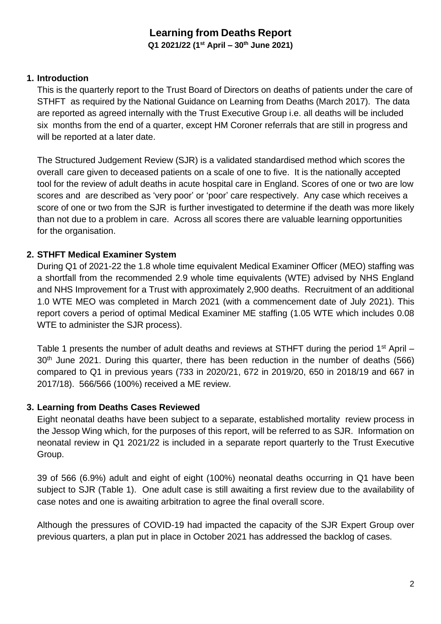# **Learning from Deaths Report**

**Q1 2021/22 (1 st April – 30th June 2021)**

## **1. Introduction**

This is the quarterly report to the Trust Board of Directors on deaths of patients under the care of STHFT as required by the National Guidance on Learning from Deaths (March 2017). The data are reported as agreed internally with the Trust Executive Group i.e. all deaths will be included six months from the end of a quarter, except HM Coroner referrals that are still in progress and will be reported at a later date.

The Structured Judgement Review (SJR) is a validated standardised method which scores the overall care given to deceased patients on a scale of one to five. It is the nationally accepted tool for the review of adult deaths in acute hospital care in England. Scores of one or two are low scores and are described as 'very poor' or 'poor' care respectively. Any case which receives a score of one or two from the SJR is further investigated to determine if the death was more likely than not due to a problem in care. Across all scores there are valuable learning opportunities for the organisation.

# **2. STHFT Medical Examiner System**

During Q1 of 2021-22 the 1.8 whole time equivalent Medical Examiner Officer (MEO) staffing was a shortfall from the recommended 2.9 whole time equivalents (WTE) advised by NHS England and NHS Improvement for a Trust with approximately 2,900 deaths. Recruitment of an additional 1.0 WTE MEO was completed in March 2021 (with a commencement date of July 2021). This report covers a period of optimal Medical Examiner ME staffing (1.05 WTE which includes 0.08 WTE to administer the SJR process).

Table 1 presents the number of adult deaths and reviews at STHFT during the period  $1<sup>st</sup>$  April – 30<sup>th</sup> June 2021. During this quarter, there has been reduction in the number of deaths (566) compared to Q1 in previous years (733 in 2020/21, 672 in 2019/20, 650 in 2018/19 and 667 in 2017/18). 566/566 (100%) received a ME review.

### **3. Learning from Deaths Cases Reviewed**

Eight neonatal deaths have been subject to a separate, established mortality review process in the Jessop Wing which, for the purposes of this report, will be referred to as SJR. Information on neonatal review in Q1 2021/22 is included in a separate report quarterly to the Trust Executive Group.

39 of 566 (6.9%) adult and eight of eight (100%) neonatal deaths occurring in Q1 have been subject to SJR (Table 1). One adult case is still awaiting a first review due to the availability of case notes and one is awaiting arbitration to agree the final overall score.

Although the pressures of COVID-19 had impacted the capacity of the SJR Expert Group over previous quarters, a plan put in place in October 2021 has addressed the backlog of cases.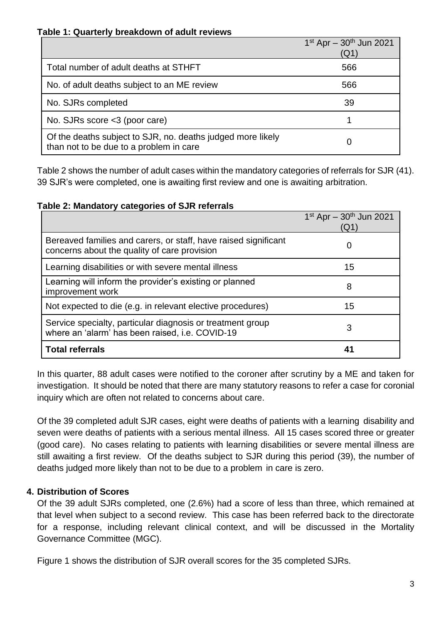### **Table 1: Quarterly breakdown of adult reviews**

|                                                                                                        | $1^{st}$ Apr - $30^{th}$ Jun 2021<br>(Q1) |
|--------------------------------------------------------------------------------------------------------|-------------------------------------------|
| Total number of adult deaths at STHFT                                                                  | 566                                       |
| No. of adult deaths subject to an ME review                                                            | 566                                       |
| No. SJRs completed                                                                                     | 39                                        |
| No. SJRs score <3 (poor care)                                                                          |                                           |
| Of the deaths subject to SJR, no. deaths judged more likely<br>than not to be due to a problem in care |                                           |

Table 2 shows the number of adult cases within the mandatory categories of referrals for SJR (41). 39 SJR's were completed, one is awaiting first review and one is awaiting arbitration.

**Table 2: Mandatory categories of SJR referrals**

|                                                                                                                 | $1^{st}$ Apr - $30^{th}$ Jun 2021<br>(Q1) |
|-----------------------------------------------------------------------------------------------------------------|-------------------------------------------|
| Bereaved families and carers, or staff, have raised significant<br>concerns about the quality of care provision | 0                                         |
| Learning disabilities or with severe mental illness                                                             | 15                                        |
| Learning will inform the provider's existing or planned<br>improvement work                                     | 8                                         |
| Not expected to die (e.g. in relevant elective procedures)                                                      | 15                                        |
| Service specialty, particular diagnosis or treatment group<br>where an 'alarm' has been raised, i.e. COVID-19   | 3                                         |
| <b>Total referrals</b>                                                                                          | 41                                        |

In this quarter, 88 adult cases were notified to the coroner after scrutiny by a ME and taken for investigation. It should be noted that there are many statutory reasons to refer a case for coronial inquiry which are often not related to concerns about care.

Of the 39 completed adult SJR cases, eight were deaths of patients with a learning disability and seven were deaths of patients with a serious mental illness. All 15 cases scored three or greater (good care). No cases relating to patients with learning disabilities or severe mental illness are still awaiting a first review. Of the deaths subject to SJR during this period (39), the number of deaths judged more likely than not to be due to a problem in care is zero.

# **4. Distribution of Scores**

Of the 39 adult SJRs completed, one (2.6%) had a score of less than three, which remained at that level when subject to a second review. This case has been referred back to the directorate for a response, including relevant clinical context, and will be discussed in the Mortality Governance Committee (MGC).

Figure 1 shows the distribution of SJR overall scores for the 35 completed SJRs.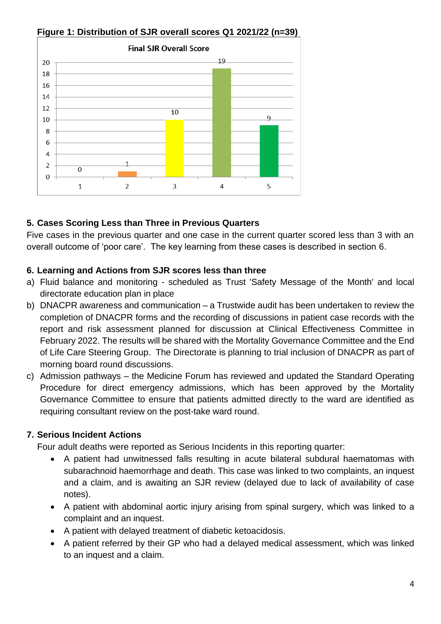

# **Figure 1: Distribution of SJR overall scores Q1 2021/22 (n=39)**

# **5. Cases Scoring Less than Three in Previous Quarters**

Five cases in the previous quarter and one case in the current quarter scored less than 3 with an overall outcome of 'poor care'. The key learning from these cases is described in section 6.

# **6. Learning and Actions from SJR scores less than three**

- a) Fluid balance and monitoring scheduled as Trust 'Safety Message of the Month' and local directorate education plan in place
- b) DNACPR awareness and communication a Trustwide audit has been undertaken to review the completion of DNACPR forms and the recording of discussions in patient case records with the report and risk assessment planned for discussion at Clinical Effectiveness Committee in February 2022. The results will be shared with the Mortality Governance Committee and the End of Life Care Steering Group. The Directorate is planning to trial inclusion of DNACPR as part of morning board round discussions.
- c) Admission pathways the Medicine Forum has reviewed and updated the Standard Operating Procedure for direct emergency admissions, which has been approved by the Mortality Governance Committee to ensure that patients admitted directly to the ward are identified as requiring consultant review on the post-take ward round.

### **7. Serious Incident Actions**

Four adult deaths were reported as Serious Incidents in this reporting quarter:

- A patient had unwitnessed falls resulting in acute bilateral subdural haematomas with subarachnoid haemorrhage and death. This case was linked to two complaints, an inquest and a claim, and is awaiting an SJR review (delayed due to lack of availability of case notes).
- A patient with abdominal aortic injury arising from spinal surgery, which was linked to a complaint and an inquest.
- A patient with delayed treatment of diabetic ketoacidosis.
- A patient referred by their GP who had a delayed medical assessment, which was linked to an inquest and a claim.